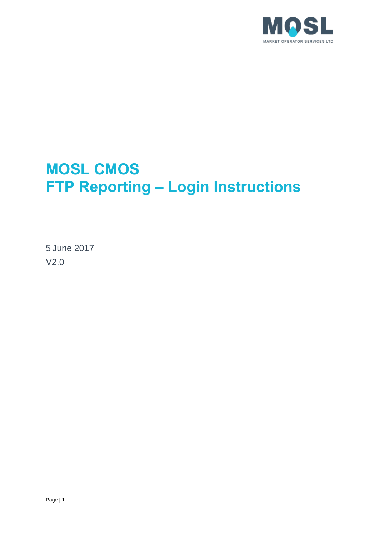

# **MOSL CMOS FTP Reporting – Login Instructions**

5 June 2017 V2.0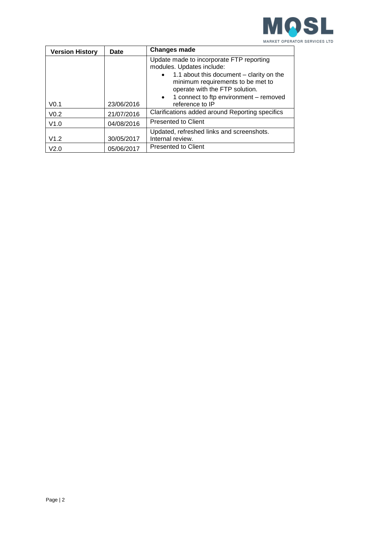

| <b>Version History</b> | Date       | <b>Changes made</b>                                                                                                                                                                                   |
|------------------------|------------|-------------------------------------------------------------------------------------------------------------------------------------------------------------------------------------------------------|
|                        |            | Update made to incorporate FTP reporting<br>modules. Updates include:<br>1.1 about this document – clarity on the<br>$\bullet$<br>minimum requirements to be met to<br>operate with the FTP solution. |
| V <sub>0.1</sub>       | 23/06/2016 | 1 connect to ftp environment - removed<br>$\bullet$<br>reference to IP                                                                                                                                |
| V <sub>0.2</sub>       | 21/07/2016 | Clarifications added around Reporting specifics                                                                                                                                                       |
| V1.0                   | 04/08/2016 | <b>Presented to Client</b>                                                                                                                                                                            |
| V1.2                   | 30/05/2017 | Updated, refreshed links and screenshots.<br>Internal review.                                                                                                                                         |
| V <sub>2.0</sub>       | 05/06/2017 | <b>Presented to Client</b>                                                                                                                                                                            |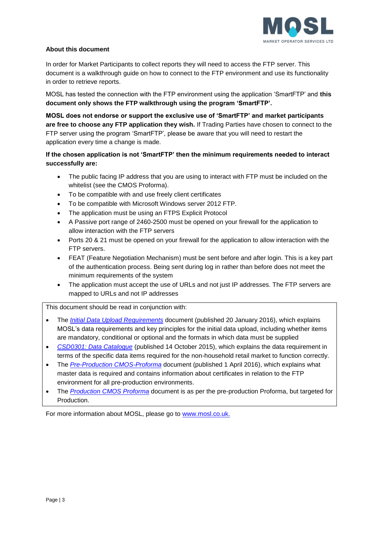

### **About this document**

In order for Market Participants to collect reports they will need to access the FTP server. This document is a walkthrough guide on how to connect to the FTP environment and use its functionality in order to retrieve reports.

MOSL has tested the connection with the FTP environment using the application 'SmartFTP' and **this document only shows the FTP walkthrough using the program 'SmartFTP'.** 

**MOSL does not endorse or support the exclusive use of 'SmartFTP' and market participants are free to choose any FTP application they wish.** If Trading Parties have chosen to connect to the FTP server using the program 'SmartFTP', please be aware that you will need to restart the application every time a change is made.

**If the chosen application is not 'SmartFTP' then the minimum requirements needed to interact successfully are:**

- The public facing IP address that you are using to interact with FTP must be included on the whitelist (see the CMOS Proforma).
- To be compatible with and use freely client certificates
- To be compatible with Microsoft Windows server 2012 FTP.
- The application must be using an FTPS Explicit Protocol
- A Passive port range of 2460-2500 must be opened on your firewall for the application to allow interaction with the FTP servers
- Ports 20 & 21 must be opened on your firewall for the application to allow interaction with the FTP servers.
- FEAT (Feature Negotiation Mechanism) must be sent before and after login. This is a key part of the authentication process. Being sent during log in rather than before does not meet the minimum requirements of the system
- The application must accept the use of URLs and not just IP addresses. The FTP servers are mapped to URLs and not IP addresses

This document should be read in conjunction with:

- The *[Initial Data Upload Requirements](https://www.mosl.co.uk/latest/mosl-issues-market-opening-data-strategy-and-initial-data-upload-requirements/)* document (published 20 January 2016), which explains MOSL's data requirements and key principles for the initial data upload, including whether items are mandatory, conditional or optional and the formats in which data must be supplied
- *[CSD0301: Data Catalogue](https://www.mosl.co.uk/download-document/bc2d5ecb095b50a88ab9242d36eb2b91)* (published 14 October 2015), which explains the data requirement in terms of the specific data items required for the non-household retail market to function correctly.
- The *[Pre-Production CMOS-Proforma](https://www.mosl.co.uk/download-document/d825bfb3b96c84b76a99bc3ba452f311)* document (published 1 April 2016), which explains what master data is required and contains information about certificates in relation to the FTP environment for all pre-production environments.
- The *[Production CMOS Proforma](https://www.mosl.co.uk/download-document/d825bfb3b96c84b76a99bc3ba452f311)* document is as per the pre-production Proforma, but targeted for Production.

For more information about MOSL, please go to [www.mosl.co.uk.](http://www.mosl.co.uk/)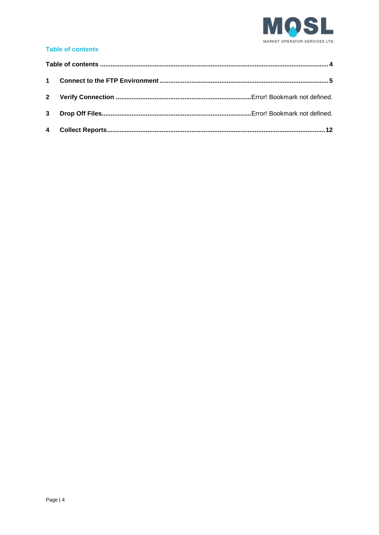

## <span id="page-3-0"></span>**Table of contents**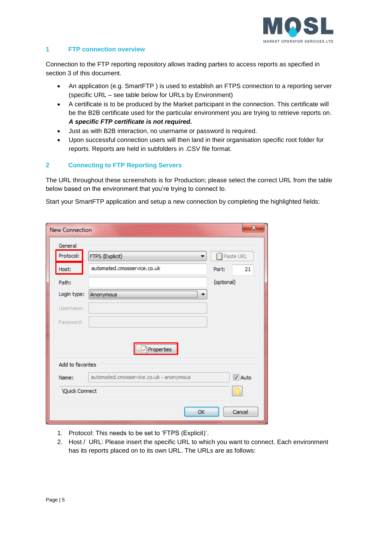

#### <span id="page-4-0"></span>**1 FTP connection overview**

Connection to the FTP reporting repository allows trading parties to access reports as specified in section 3 of this document.

- An application (e.g. SmartFTP ) is used to establish an FTPS connection to a reporting server (specific URL – see table below for URLs by Environment)
- A certificate is to be produced by the Market participant in the connection. This certificate will be the B2B certificate used for the particular environment you are trying to retrieve reports on. *A specific FTP certificate is not required.*
- Just as with B2B interaction, no username or password is required.
- Upon successful connection users will then land in their organisation specific root folder for reports. Reports are held in subfolders in .CSV file format.

## **2 Connecting to FTP Reporting Servers**

The URL throughout these screenshots is for Production; please select the correct URL from the table below based on the environment that you're trying to connect to.

Start your SmartFTP application and setup a new connection by completing the highlighted fields:

| <b>New Connection</b> | x                                                        |
|-----------------------|----------------------------------------------------------|
| General               |                                                          |
| Protocol:             | FTPS (Explicit)<br>Paste URL                             |
| Host:                 | automated.cmosservice.co.uk<br>21<br>Port:               |
| Path:                 | (optional)                                               |
| Login type:           |                                                          |
| Username:             |                                                          |
| Password:             |                                                          |
|                       | Properties                                               |
| Add to favorites      |                                                          |
| Name:                 | automated.cmosservice.co.uk - anonymous<br><b>V</b> Auto |
| <b>Quick Connect</b>  |                                                          |
|                       | Cancel<br>OK                                             |

- 1. Protocol: This needs to be set to 'FTPS (Explicit)'.
- 2. Host / URL: Please insert the specific URL to which you want to connect. Each environment has its reports placed on to its own URL. The URLs are as follows: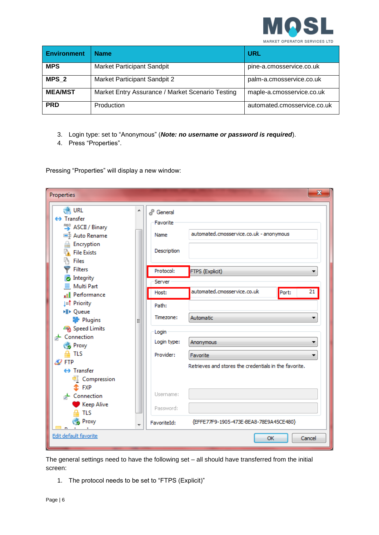

| <b>Environment</b> | <b>Name</b>                                      | <b>URL</b>                  |
|--------------------|--------------------------------------------------|-----------------------------|
| <b>MPS</b>         | Market Participant Sandpit                       | pine-a.cmosservice.co.uk    |
| MPS <sub>2</sub>   | Market Participant Sandpit 2                     | palm-a.cmosservice.co.uk    |
| <b>MEA/MST</b>     | Market Entry Assurance / Market Scenario Testing | maple-a.cmosservice.co.uk   |
| <b>PRD</b>         | Production                                       | automated.cmosservice.co.uk |

- 3. Login type: set to "Anonymous" (*Note: no username or password is required*).
- 4. Press "Properties".

Pressing "Properties" will display a new window:

| Properties                                                                                                                                        |   |                                                           | $\mathbf{x}$                                          |
|---------------------------------------------------------------------------------------------------------------------------------------------------|---|-----------------------------------------------------------|-------------------------------------------------------|
| <b>CALL</b><br>$\leftrightarrow$ Transfer<br><b>ASCII</b> / Binary<br>■ Auto Rename<br>Encryption<br>읊<br><b>File Exists</b><br>h<br><b>Files</b> | ┻ | ු <sup>ම</sup> General<br>Favorite<br>Name<br>Description | automated.cmosservice.co.uk - anonymous               |
| <b>Filters</b><br><b>o</b> Integrity                                                                                                              |   | Protocol:                                                 | FTPS (Explicit)<br>▼                                  |
| $\equiv$ Multi Part<br>Il Performance                                                                                                             |   | Server<br>Host:                                           | automated.cmosservice.co.uk<br>21<br>Port:            |
| <b>⊥≡ाै</b> Priority<br>▶ Queue                                                                                                                   |   | Path:                                                     |                                                       |
| Plugins<br>Speed Limits                                                                                                                           | Ξ | Timezone:                                                 | Automatic<br>▼                                        |
| + Connection<br><b>Proxy</b>                                                                                                                      |   | Login<br>Login type:                                      | Anonymous<br>▼                                        |
| $A$ TLS<br>$\mathscr{Q}$ FTP                                                                                                                      |   | Provider:                                                 | Favorite                                              |
| ← Transfer<br>Compression<br>$x$ FXP                                                                                                              |   |                                                           | Retrieves and stores the credentials in the favorite. |
| + Connection<br><b>Keep Alive</b>                                                                                                                 |   | Username:                                                 |                                                       |
| <b>TLS</b><br><b>Proxy</b>                                                                                                                        | ٠ | Password:<br>FavoriteId:                                  | {EFFE77F9-1905-473E-BEA8-78E9A45CE480}                |
| Edit default favorite                                                                                                                             |   |                                                           | OK<br>Cancel                                          |

The general settings need to have the following set – all should have transferred from the initial screen:

1. The protocol needs to be set to "FTPS (Explicit)"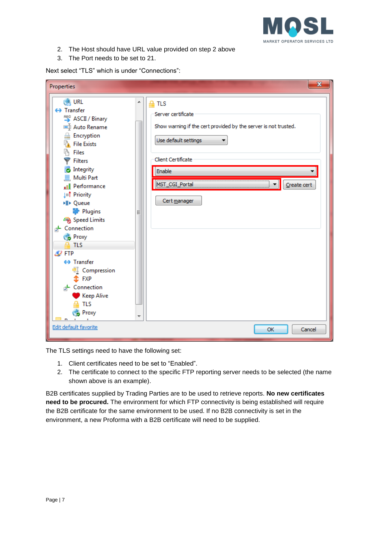

- 2. The Host should have URL value provided on step 2 above
- 3. The Port needs to be set to 21.

Next select "TLS" which is under "Connections":

| Properties                                                                                                                                                                                                                                                                                                                                                                                                                                                                                         |             | $\mathbf{x}$                                                                                                                                                                                                      |
|----------------------------------------------------------------------------------------------------------------------------------------------------------------------------------------------------------------------------------------------------------------------------------------------------------------------------------------------------------------------------------------------------------------------------------------------------------------------------------------------------|-------------|-------------------------------------------------------------------------------------------------------------------------------------------------------------------------------------------------------------------|
| <b>Cong URL</b><br>← Transfer<br><b>ASCII</b> / Binary<br>■ Auto Rename<br><b>Encryption</b><br><b>R</b> File Exists<br><b>Files</b><br><b>Filters</b><br><b>o</b> Integrity<br>$\equiv$ Multi Part<br>Il Performance<br><b>⊥≡† Priority</b><br>▶ Queue<br>Plugins<br>Speed Limits<br>- Connection<br><b>Proxy</b><br>$\triangle$ TLS<br>$\mathscr{Q}$ FTP<br>$\leftrightarrow$ Transfer<br>Compression<br>$E$ FXP<br>d+ Connection<br><b>Keep Alive</b><br><b>TLS</b><br><b>Proxy</b><br><b>D</b> | ▲<br>Ξ<br>۳ | <b>TLS</b><br>≙<br>Server certificate<br>Show warning if the cert provided by the server is not trusted.<br>Use default settings<br>Client Certificate<br>Enable<br>MST_CGI_Portal<br>Create cert<br>Cert manager |
| Edit default favorite                                                                                                                                                                                                                                                                                                                                                                                                                                                                              |             | Cancel<br><b>OK</b>                                                                                                                                                                                               |

The TLS settings need to have the following set:

- 1. Client certificates need to be set to "Enabled".
- 2. The certificate to connect to the specific FTP reporting server needs to be selected (the name shown above is an example).

B2B certificates supplied by Trading Parties are to be used to retrieve reports. **No new certificates need to be procured.** The environment for which FTP connectivity is being established will require the B2B certificate for the same environment to be used. If no B2B connectivity is set in the environment, a new Proforma with a B2B certificate will need to be supplied.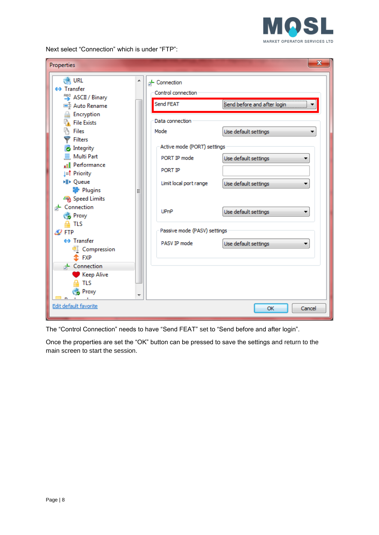

Next select "Connection" which is under "FTP":

| Properties                 |   |                              | x                                                |
|----------------------------|---|------------------------------|--------------------------------------------------|
| <b>CALL</b>                | ▲ | <b>A</b> -Connection         |                                                  |
| ← Transfer                 |   | Control connection           |                                                  |
| <b>ASCII</b> / Binary      |   |                              |                                                  |
| <b>■ Auto Rename</b>       |   | Send FEAT                    | Send before and after login                      |
| Encryption                 |   |                              |                                                  |
| <b>File Exists</b>         |   | Data connection              |                                                  |
| lä,<br>Files               |   | Mode                         | Use default settings                             |
| <b>Filters</b>             |   |                              |                                                  |
| <b>o</b> Integrity         |   | Active mode (PORT) settings  |                                                  |
| <b>Multi Part</b>          |   | PORT IP mode                 | Use default settings                             |
| Performance<br>пD.         |   |                              |                                                  |
| ⊥≡ा Priority               |   | PORT IP                      |                                                  |
| ▶ Queue                    |   | Limit local port range       | Use default settings                             |
| Plugins                    | Ξ |                              |                                                  |
| Speed Limits               |   |                              |                                                  |
| + Connection               |   | UPnP                         | Use default settings<br>$\overline{\phantom{a}}$ |
| <b>Proxy</b>               |   |                              |                                                  |
| <b>TLS</b>                 |   |                              |                                                  |
| $\mathscr{D}$ FTP          |   | Passive mode (PASV) settings |                                                  |
| $\leftrightarrow$ Transfer |   | PASV IP mode                 | Use default settings                             |
| Compression                |   |                              |                                                  |
| $\mathbf{\hat{x}}$ FXP     |   |                              |                                                  |
| <b>+</b> Connection        |   |                              |                                                  |
| <b>Keep Alive</b>          |   |                              |                                                  |
| <b>TLS</b>                 |   |                              |                                                  |
| Proxy                      |   |                              |                                                  |
| Edit default favorite      |   |                              | OK<br>Cancel                                     |

The "Control Connection" needs to have "Send FEAT" set to "Send before and after login".

Once the properties are set the "OK" button can be pressed to save the settings and return to the main screen to start the session.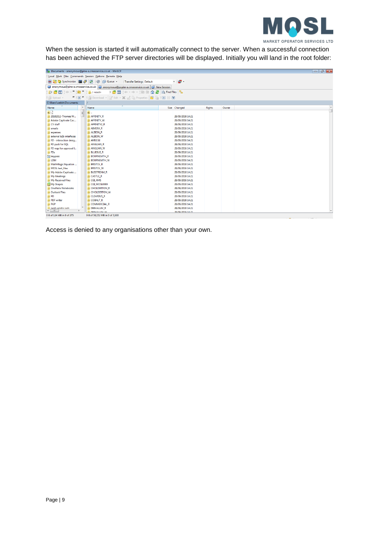

When the session is started it will automatically connect to the server. When a successful connection has been achieved the FTP server directories will be displayed. Initially you will land in the root folder:



Access is denied to any organisations other than your own.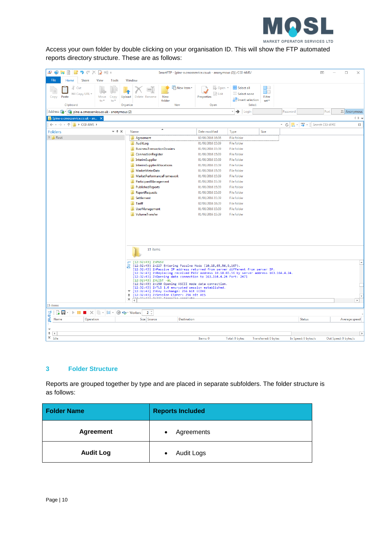

Access your own folder by double clicking on your organisation ID. This will show the FTP automated reports directory structure. These are as follows:

| $\bigcirc$<br>s<br>IJ.<br>$=$ i $\sqrt{2}$                                                                              |                                                                                                                                                                                                                                                                                                                                                                        | SmartFTP - [pine-a.cmosservice.co.uk - anonymous (2)] /CGI-AMS/                                                              |                                         | 困<br>$\Box$<br>$\times$                    |
|-------------------------------------------------------------------------------------------------------------------------|------------------------------------------------------------------------------------------------------------------------------------------------------------------------------------------------------------------------------------------------------------------------------------------------------------------------------------------------------------------------|------------------------------------------------------------------------------------------------------------------------------|-----------------------------------------|--------------------------------------------|
| File<br>Home<br>Share<br>View<br>Tools                                                                                  | Window                                                                                                                                                                                                                                                                                                                                                                 |                                                                                                                              |                                         |                                            |
| ď<br>Cut<br>M <sub>m</sub> Copy URL *<br>Paste<br>Copy<br>Move<br>Copy<br>$\frac{1}{2}$<br>to <sup>*</sup><br>Clipboard | New item -<br>-1<br>Upload<br>New<br>Delete Rename<br>folder<br>Organize<br>New                                                                                                                                                                                                                                                                                        | Select all<br><b>Dpen</b> *<br><b>Z</b> Edit<br>88 Select none<br>Properties<br><b>AR</b> Invert selection<br>Select<br>Open | M B<br>۵O<br>Filter<br>set <sup>+</sup> |                                            |
| Address <sup>2</sup><br>pine-a.cmosservice.co.uk - anonymous (2)                                                        |                                                                                                                                                                                                                                                                                                                                                                        | $\rightarrow$ Login                                                                                                          | Password                                | Port<br>21 Anonymous                       |
|                                                                                                                         |                                                                                                                                                                                                                                                                                                                                                                        |                                                                                                                              |                                         | $\triangle$ $\triangleright$ $\rightarrow$ |
| pine-a.cmosservice.co.uk - an X<br>$\mathbb{R}$ > CGI-AMS ><br>$\leftarrow$ - $\rightarrow$ - $\uparrow$                |                                                                                                                                                                                                                                                                                                                                                                        |                                                                                                                              | $\frac{0101}{2}$ +<br>٠<br>$\ddot{}$    | Search CGI-AMS<br>$\Box$                   |
|                                                                                                                         | ▲                                                                                                                                                                                                                                                                                                                                                                      |                                                                                                                              | $\mathcal{C}$<br>Les                    |                                            |
| $-7$ $\times$<br><b>Folders</b>                                                                                         | Name                                                                                                                                                                                                                                                                                                                                                                   | Date modified<br>Type                                                                                                        | Size                                    |                                            |
| $\triangleright$ Root                                                                                                   | Agreement                                                                                                                                                                                                                                                                                                                                                              | 02/08/2016 16:36<br><b>File folder</b>                                                                                       |                                         |                                            |
|                                                                                                                         | AuditLog                                                                                                                                                                                                                                                                                                                                                               | 01/08/2016 15:39<br><b>File folder</b>                                                                                       |                                         |                                            |
|                                                                                                                         | <b>BusinessTransactionDossiers</b>                                                                                                                                                                                                                                                                                                                                     | 01/08/2016 15:39<br><b>File folder</b>                                                                                       |                                         |                                            |
|                                                                                                                         | <b>ConnectionRegister</b>                                                                                                                                                                                                                                                                                                                                              | 01/08/2016 15:39<br><b>File folder</b>                                                                                       |                                         |                                            |
|                                                                                                                         | InterimSupplier                                                                                                                                                                                                                                                                                                                                                        | 01/08/2016 15:39<br><b>File folder</b>                                                                                       |                                         |                                            |
|                                                                                                                         | InterimSupplierAllocations                                                                                                                                                                                                                                                                                                                                             | 01/08/2016 15:39<br><b>File folder</b>                                                                                       |                                         |                                            |
|                                                                                                                         | MarketMeterData<br>MarketPerformanceFramework                                                                                                                                                                                                                                                                                                                          | File folder<br>01/08/2016 15:39<br>File folder                                                                               |                                         |                                            |
|                                                                                                                         | ParticipantManagement                                                                                                                                                                                                                                                                                                                                                  | 01/08/2016 15:39<br>01/08/2016 15:39<br><b>File folder</b>                                                                   |                                         |                                            |
|                                                                                                                         | PublishedReports                                                                                                                                                                                                                                                                                                                                                       | <b>File folder</b><br>01/08/2016 15:39                                                                                       |                                         |                                            |
|                                                                                                                         | ReportRequests                                                                                                                                                                                                                                                                                                                                                         | <b>File folder</b><br>01/08/2016 15:39                                                                                       |                                         |                                            |
|                                                                                                                         | Settlement                                                                                                                                                                                                                                                                                                                                                             | 01/08/2016 15:39<br><b>File folder</b>                                                                                       |                                         |                                            |
|                                                                                                                         | <b>Tariff</b>                                                                                                                                                                                                                                                                                                                                                          | 02/08/2016 16:39<br><b>File folder</b>                                                                                       |                                         |                                            |
|                                                                                                                         | UserManagement                                                                                                                                                                                                                                                                                                                                                         | <b>File folder</b><br>01/08/2016 15:39                                                                                       |                                         |                                            |
|                                                                                                                         | VolumeTransfer                                                                                                                                                                                                                                                                                                                                                         | <b>File folder</b><br>01/08/2016 15:39                                                                                       |                                         |                                            |
|                                                                                                                         |                                                                                                                                                                                                                                                                                                                                                                        |                                                                                                                              |                                         |                                            |
|                                                                                                                         | 15 items                                                                                                                                                                                                                                                                                                                                                               |                                                                                                                              |                                         |                                            |
|                                                                                                                         | [12:32:43] 2>PASV<br>$60 -$<br>[12:32:43] 2>227 Entering Passive Mode (10,18,65,56,9,167).<br>[12:32:43] 2>Passive IP address returned from server different from server IP.<br>[12:32:43] 2>Replacing received PASV address 10.18.65.56 by server address 163.164.4.24.<br>[12:32:43] 2>Opening data connection to 163.164.4.24 Port: 2471<br>$[12:32:43]$ 2>LIST -aL |                                                                                                                              |                                         | $\Delta$                                   |
|                                                                                                                         | [12:32:43] 2>150 Opening ASCII mode data connection.<br>[12:32:43] 2>TLS 1.0 encrypted session established.                                                                                                                                                                                                                                                            |                                                                                                                              |                                         |                                            |
|                                                                                                                         | [12:32:43] 2>Key Exchange: 256 bit ECDHE<br>$\overline{\phantom{a}}$                                                                                                                                                                                                                                                                                                   |                                                                                                                              |                                         |                                            |
|                                                                                                                         | [12:32:43] 2>Session Cipher: 256 bit AES<br>平<br>ESQUEDIADE DIDDE TUBULEUM<br>×                                                                                                                                                                                                                                                                                        |                                                                                                                              |                                         |                                            |
| 15 items                                                                                                                |                                                                                                                                                                                                                                                                                                                                                                        |                                                                                                                              |                                         | $\mathbb{F}$                               |
|                                                                                                                         |                                                                                                                                                                                                                                                                                                                                                                        |                                                                                                                              |                                         |                                            |
| Transf                                                                                                                  | 2 <sup>2</sup>                                                                                                                                                                                                                                                                                                                                                         |                                                                                                                              |                                         |                                            |
| Name<br>Operation                                                                                                       | Size Source<br>Destination                                                                                                                                                                                                                                                                                                                                             |                                                                                                                              | <b>Status</b>                           | Average speed                              |
| ÷<br>F<br>$\times$ Tdle                                                                                                 |                                                                                                                                                                                                                                                                                                                                                                        | Items: 0<br>Total: 0 bytes                                                                                                   | In Speed: 0 bytes/s                     | D.<br>Out Speed: 0 bytes/s                 |
|                                                                                                                         |                                                                                                                                                                                                                                                                                                                                                                        |                                                                                                                              | Transferred: 0 bytes                    |                                            |

## **3 Folder Structure**

Reports are grouped together by type and are placed in separate subfolders. The folder structure is as follows:

| <b>Folder Name</b> | <b>Reports Included</b>        |
|--------------------|--------------------------------|
| <b>Agreement</b>   | Agreements<br>$\bullet$        |
| <b>Audit Log</b>   | <b>Audit Logs</b><br>$\bullet$ |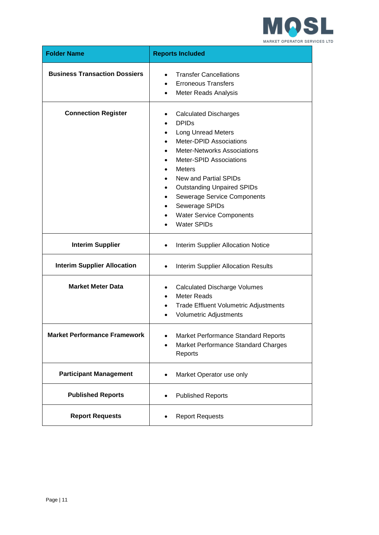

| <b>Folder Name</b>                   | <b>Reports Included</b>                                                                                                                                                                                                                                                                                                                                                                                                                                                                 |
|--------------------------------------|-----------------------------------------------------------------------------------------------------------------------------------------------------------------------------------------------------------------------------------------------------------------------------------------------------------------------------------------------------------------------------------------------------------------------------------------------------------------------------------------|
| <b>Business Transaction Dossiers</b> | <b>Transfer Cancellations</b><br>$\bullet$<br><b>Erroneous Transfers</b><br><b>Meter Reads Analysis</b><br>$\bullet$                                                                                                                                                                                                                                                                                                                                                                    |
| <b>Connection Register</b>           | <b>Calculated Discharges</b><br>$\bullet$<br><b>DPID<sub>s</sub></b><br>$\bullet$<br><b>Long Unread Meters</b><br>$\bullet$<br>Meter-DPID Associations<br><b>Meter-Networks Associations</b><br><b>Meter-SPID Associations</b><br><b>Meters</b><br>٠<br>New and Partial SPIDs<br><b>Outstanding Unpaired SPIDs</b><br>$\bullet$<br><b>Sewerage Service Components</b><br>$\bullet$<br>Sewerage SPIDs<br>$\bullet$<br><b>Water Service Components</b><br>$\bullet$<br><b>Water SPIDs</b> |
| <b>Interim Supplier</b>              | Interim Supplier Allocation Notice<br>$\bullet$                                                                                                                                                                                                                                                                                                                                                                                                                                         |
| <b>Interim Supplier Allocation</b>   | <b>Interim Supplier Allocation Results</b><br>$\bullet$                                                                                                                                                                                                                                                                                                                                                                                                                                 |
| <b>Market Meter Data</b>             | <b>Calculated Discharge Volumes</b><br>$\bullet$<br><b>Meter Reads</b><br>$\bullet$<br><b>Trade Effluent Volumetric Adjustments</b><br>$\bullet$<br>Volumetric Adjustments<br>$\bullet$                                                                                                                                                                                                                                                                                                 |
| <b>Market Performance Framework</b>  | Market Performance Standard Reports<br>Market Performance Standard Charges<br>Reports                                                                                                                                                                                                                                                                                                                                                                                                   |
| <b>Participant Management</b>        | Market Operator use only<br>$\bullet$                                                                                                                                                                                                                                                                                                                                                                                                                                                   |
| <b>Published Reports</b>             | <b>Published Reports</b><br>$\bullet$                                                                                                                                                                                                                                                                                                                                                                                                                                                   |
| <b>Report Requests</b>               | <b>Report Requests</b>                                                                                                                                                                                                                                                                                                                                                                                                                                                                  |